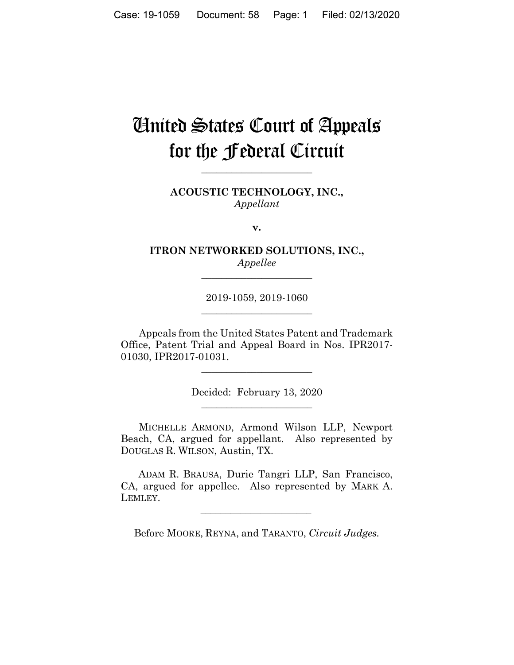# **Cinited States Court of Appeals** for the **federal** Circuit

ACOUSTIC TECHNOLOGY, INC., Appellant

v.

ITRON NETWORKED SOLUTIONS, INC., Appellee

2019-1059, 2019-1060

Appeals from the United States Patent and Trademark Office, Patent Trial and Appeal Board in Nos. IPR2017-01030. IPR2017-01031.

Decided: February 13, 2020

MICHELLE ARMOND, Armond Wilson LLP, Newport Beach, CA, argued for appellant. Also represented by DOUGLAS R. WILSON, Austin, TX.

ADAM R. BRAUSA, Durie Tangri LLP, San Francisco, CA, argued for appellee. Also represented by MARK A. LEMLEY.

Before MOORE, REYNA, and TARANTO, Circuit Judges.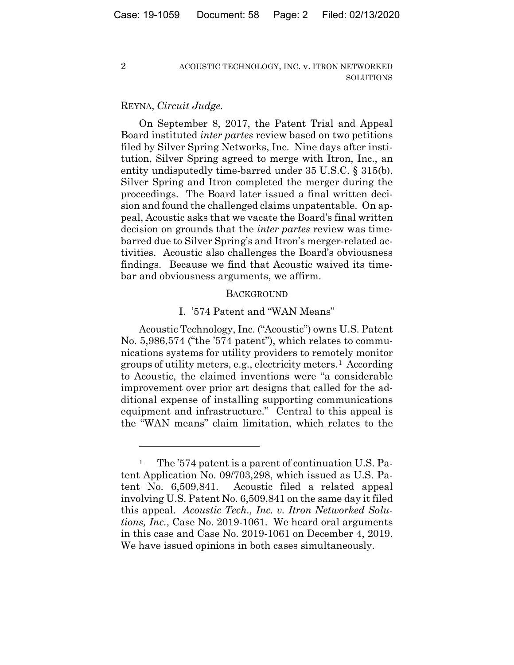#### REYNA, *Circuit Judge.*

2

On September 8, 2017, the Patent Trial and Appeal Board instituted *inter partes* review based on two petitions filed by Silver Spring Networks, Inc. Nine days after institution, Silver Spring agreed to merge with Itron, Inc., an entity undisputedly time-barred under 35 U.S.C. § 315(b). Silver Spring and Itron completed the merger during the proceedings. The Board later issued a final written decision and found the challenged claims unpatentable. On appeal, Acoustic asks that we vacate the Board's final written decision on grounds that the *inter partes* review was timebarred due to Silver Spring's and Itron's merger-related activities. Acoustic also challenges the Board's obviousness findings. Because we find that Acoustic waived its timebar and obviousness arguments, we affirm.

#### **BACKGROUND**

#### I. '574 Patent and "WAN Means"

Acoustic Technology, Inc. ("Acoustic") owns U.S. Patent No. 5,986,574 ("the '574 patent"), which relates to communications systems for utility providers to remotely monitor groups of utility meters, e.g., electricity meters.<sup>1</sup> According to Acoustic, the claimed inventions were "a considerable improvement over prior art designs that called for the additional expense of installing supporting communications equipment and infrastructure." Central to this appeal is the "WAN means" claim limitation, which relates to the

<sup>&</sup>lt;sup>1</sup> The '574 patent is a parent of continuation U.S. Patent Application No. 09/703,298, which issued as U.S. Patent No. 6,509,841. Acoustic filed a related appeal involving U.S. Patent No. 6,509,841 on the same day it filed this appeal. *Acoustic Tech., Inc. v. Itron Networked Solutions, Inc.*, Case No. 2019-1061. We heard oral arguments in this case and Case No. 2019-1061 on December 4, 2019. We have issued opinions in both cases simultaneously.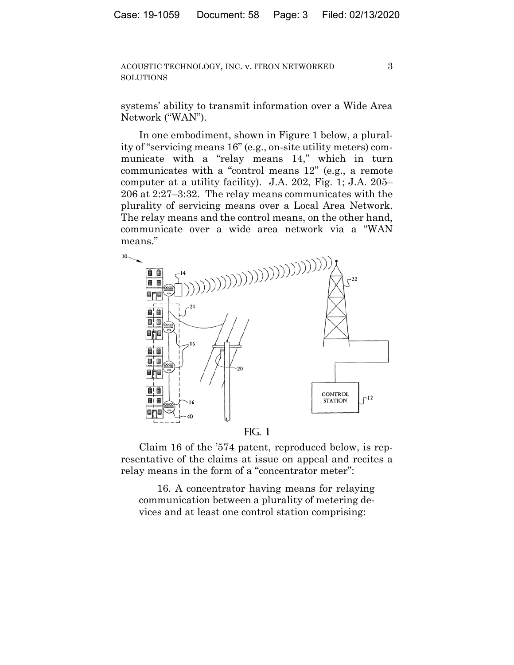3

systems' ability to transmit information over a Wide Area Network ("WAN").

In one embodiment, shown in Figure 1 below, a plurality of "servicing means 16" (e.g., on-site utility meters) communicate with a "relay means 14," which in turn communicates with a "control means 12" (e.g., a remote computer at a utility facility). J.A. 202, Fig. 1; J.A. 205– 206 at 2:27–3:32. The relay means communicates with the plurality of servicing means over a Local Area Network. The relay means and the control means, on the other hand, communicate over a wide area network via a "WAN means."



Claim 16 of the '574 patent, reproduced below, is representative of the claims at issue on appeal and recites a relay means in the form of a "concentrator meter":

16. A concentrator having means for relaying communication between a plurality of metering devices and at least one control station comprising: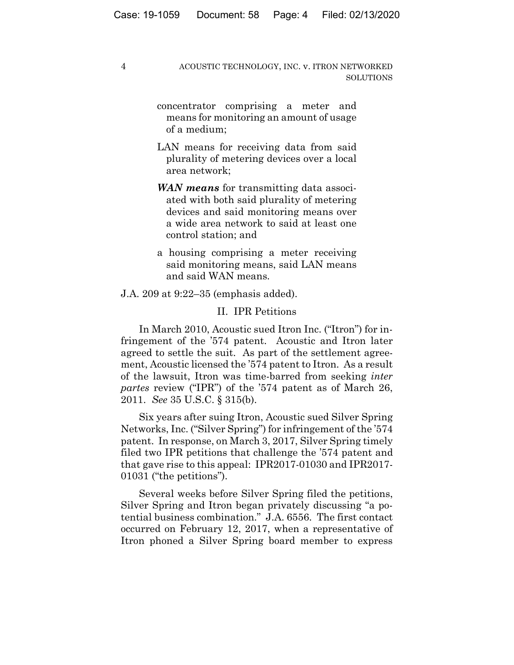concentrator comprising a meter and means for monitoring an amount of usage of a medium;

- LAN means for receiving data from said plurality of metering devices over a local area network;
- *WAN means* for transmitting data associated with both said plurality of metering devices and said monitoring means over a wide area network to said at least one control station; and
- a housing comprising a meter receiving said monitoring means, said LAN means and said WAN means.

J.A. 209 at 9:22–35 (emphasis added).

# II. IPR Petitions

In March 2010, Acoustic sued Itron Inc. ("Itron") for infringement of the '574 patent. Acoustic and Itron later agreed to settle the suit. As part of the settlement agreement, Acoustic licensed the '574 patent to Itron. As a result of the lawsuit, Itron was time-barred from seeking *inter partes* review ("IPR") of the '574 patent as of March 26, 2011. *See* 35 U.S.C. § 315(b).

Six years after suing Itron, Acoustic sued Silver Spring Networks, Inc. ("Silver Spring") for infringement of the '574 patent. In response, on March 3, 2017, Silver Spring timely filed two IPR petitions that challenge the '574 patent and that gave rise to this appeal: IPR2017-01030 and IPR2017- 01031 ("the petitions").

Several weeks before Silver Spring filed the petitions, Silver Spring and Itron began privately discussing "a potential business combination." J.A. 6556. The first contact occurred on February 12, 2017, when a representative of Itron phoned a Silver Spring board member to express

4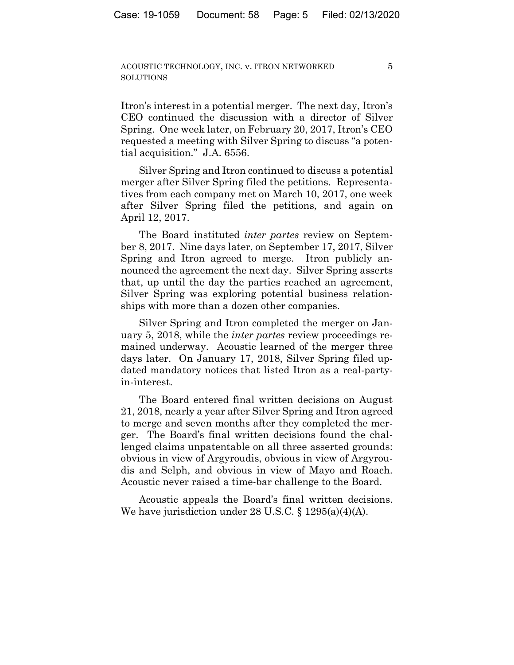$\overline{5}$ 

Itron's interest in a potential merger. The next day, Itron's CEO continued the discussion with a director of Silver Spring. One week later, on February 20, 2017, Itron's CEO requested a meeting with Silver Spring to discuss "a potential acquisition." J.A. 6556.

Silver Spring and Itron continued to discuss a potential merger after Silver Spring filed the petitions. Representatives from each company met on March 10, 2017, one week after Silver Spring filed the petitions, and again on April 12, 2017.

The Board instituted *inter partes* review on September 8, 2017. Nine days later, on September 17, 2017, Silver Spring and Itron agreed to merge. Itron publicly announced the agreement the next day. Silver Spring asserts that, up until the day the parties reached an agreement, Silver Spring was exploring potential business relationships with more than a dozen other companies.

Silver Spring and Itron completed the merger on January 5, 2018, while the *inter partes* review proceedings remained underway. Acoustic learned of the merger three days later. On January 17, 2018, Silver Spring filed updated mandatory notices that listed Itron as a real-partyin-interest.

The Board entered final written decisions on August 21, 2018, nearly a year after Silver Spring and Itron agreed to merge and seven months after they completed the merger. The Board's final written decisions found the challenged claims unpatentable on all three asserted grounds: obvious in view of Argyroudis, obvious in view of Argyroudis and Selph, and obvious in view of Mayo and Roach. Acoustic never raised a time-bar challenge to the Board.

Acoustic appeals the Board's final written decisions. We have jurisdiction under 28 U.S.C.  $\S$  1295(a)(4)(A).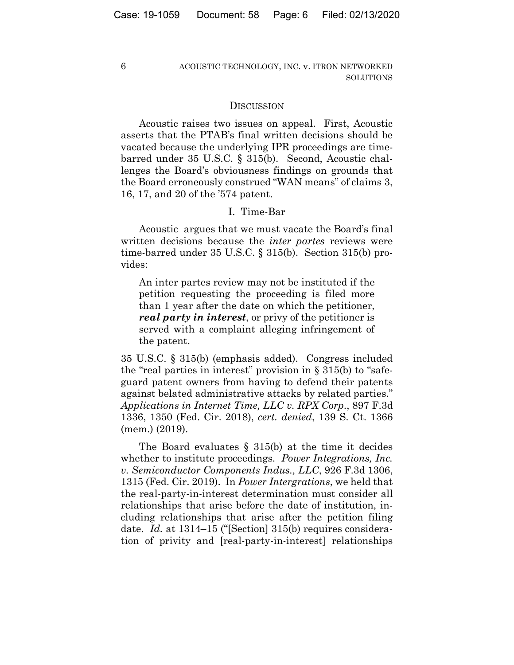6

## ACOUSTIC TECHNOLOGY, INC. v. ITRON NETWORKED SOLUTIONS

#### **DISCUSSION**

Acoustic raises two issues on appeal. First, Acoustic asserts that the PTAB's final written decisions should be vacated because the underlying IPR proceedings are timebarred under 35 U.S.C. § 315(b). Second, Acoustic challenges the Board's obviousness findings on grounds that the Board erroneously construed "WAN means" of claims 3, 16, 17, and 20 of the '574 patent.

## I. Time-Bar

Acoustic argues that we must vacate the Board's final written decisions because the *inter partes* reviews were time-barred under 35 U.S.C. § 315(b). Section 315(b) provides:

An inter partes review may not be instituted if the petition requesting the proceeding is filed more than 1 year after the date on which the petitioner, *real party in interest*, or privy of the petitioner is served with a complaint alleging infringement of the patent.

35 U.S.C. § 315(b) (emphasis added). Congress included the "real parties in interest" provision in  $\S 315(b)$  to "safeguard patent owners from having to defend their patents against belated administrative attacks by related parties." *Applications in Internet Time, LLC v. RPX Corp*., 897 F.3d 1336, 1350 (Fed. Cir. 2018), *cert. denied*, 139 S. Ct. 1366 (mem.) (2019).

The Board evaluates  $\S$  315(b) at the time it decides whether to institute proceedings. *Power Integrations, Inc. v. Semiconductor Components Indus., LLC*, 926 F.3d 1306, 1315 (Fed. Cir. 2019). In *Power Intergrations*, we held that the real-party-in-interest determination must consider all relationships that arise before the date of institution, including relationships that arise after the petition filing date. *Id.* at 1314–15 ("[Section] 315(b) requires consideration of privity and [real-party-in-interest] relationships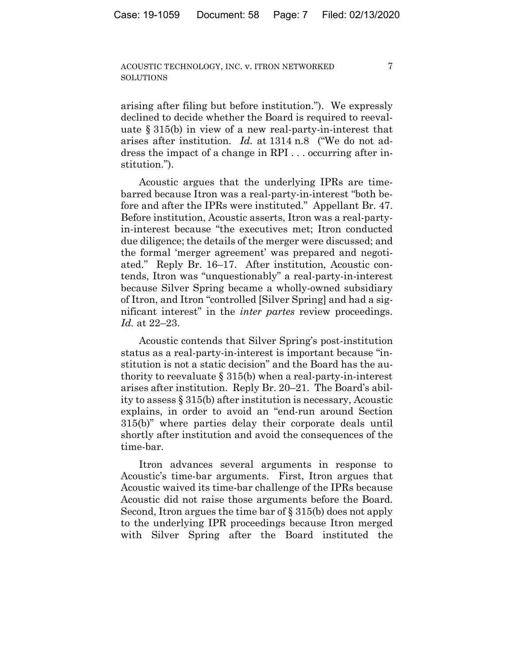7

arising after filing but before institution."). We expressly declined to decide whether the Board is required to reevaluate § 315(b) in view of a new real-party-in-interest that arises after institution. *Id.* at 1314 n.8 ("We do not address the impact of a change in RPI . . . occurring after institution.").

Acoustic argues that the underlying IPRs are timebarred because Itron was a real-party-in-interest "both before and after the IPRs were instituted." Appellant Br. 47. Before institution, Acoustic asserts, Itron was a real-partyin-interest because "the executives met; Itron conducted due diligence; the details of the merger were discussed; and the formal 'merger agreement' was prepared and negotiated." Reply Br. 16–17. After institution, Acoustic contends, Itron was "unquestionably" a real-party-in-interest because Silver Spring became a wholly-owned subsidiary of Itron, and Itron "controlled [Silver Spring] and had a significant interest" in the *inter partes* review proceedings. *Id.* at 22–23.

Acoustic contends that Silver Spring's post-institution status as a real-party-in-interest is important because "institution is not a static decision" and the Board has the authority to reevaluate  $\S 315(b)$  when a real-party-in-interest arises after institution. Reply Br. 20–21. The Board's ability to assess § 315(b) after institution is necessary, Acoustic explains, in order to avoid an "end-run around Section 315(b)" where parties delay their corporate deals until shortly after institution and avoid the consequences of the time-bar.

Itron advances several arguments in response to Acoustic's time-bar arguments. First, Itron argues that Acoustic waived its time-bar challenge of the IPRs because Acoustic did not raise those arguments before the Board. Second, Itron argues the time bar of § 315(b) does not apply to the underlying IPR proceedings because Itron merged with Silver Spring after the Board instituted the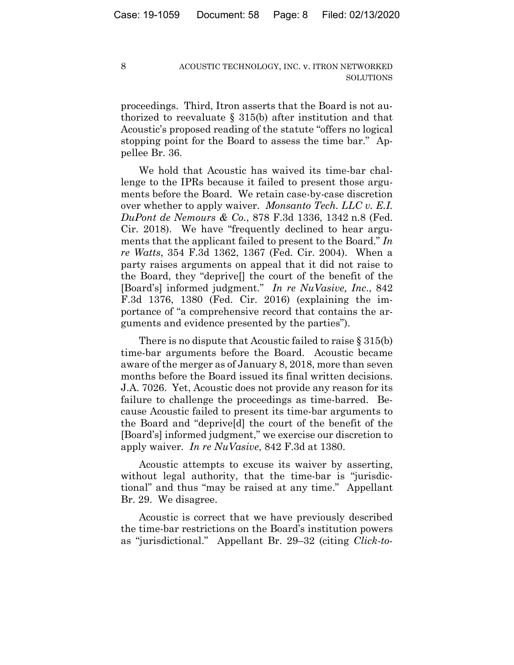proceedings. Third, Itron asserts that the Board is not authorized to reevaluate § 315(b) after institution and that Acoustic's proposed reading of the statute "offers no logical stopping point for the Board to assess the time bar." Appellee Br. 36.

We hold that Acoustic has waived its time-bar challenge to the IPRs because it failed to present those arguments before the Board. We retain case-by-case discretion over whether to apply waiver. *Monsanto Tech. LLC v. E.I. DuPont de Nemours & Co.*, 878 F.3d 1336, 1342 n.8 (Fed. Cir. 2018). We have "frequently declined to hear arguments that the applicant failed to present to the Board." *In re Watts*, 354 F.3d 1362, 1367 (Fed. Cir. 2004). When a party raises arguments on appeal that it did not raise to the Board, they "deprive[] the court of the benefit of the [Board's] informed judgment." *In re NuVasive, Inc*., 842 F.3d 1376, 1380 (Fed. Cir. 2016) (explaining the importance of "a comprehensive record that contains the arguments and evidence presented by the parties").

There is no dispute that Acoustic failed to raise § 315(b) time-bar arguments before the Board. Acoustic became aware of the merger as of January 8, 2018, more than seven months before the Board issued its final written decisions. J.A. 7026. Yet, Acoustic does not provide any reason for its failure to challenge the proceedings as time-barred. Because Acoustic failed to present its time-bar arguments to the Board and "deprive[d] the court of the benefit of the [Board's] informed judgment," we exercise our discretion to apply waiver. *In re NuVasive*, 842 F.3d at 1380.

Acoustic attempts to excuse its waiver by asserting, without legal authority, that the time-bar is "jurisdictional" and thus "may be raised at any time." Appellant Br. 29. We disagree.

Acoustic is correct that we have previously described the time-bar restrictions on the Board's institution powers as "jurisdictional." Appellant Br. 29–32 (citing *Click-to-*

8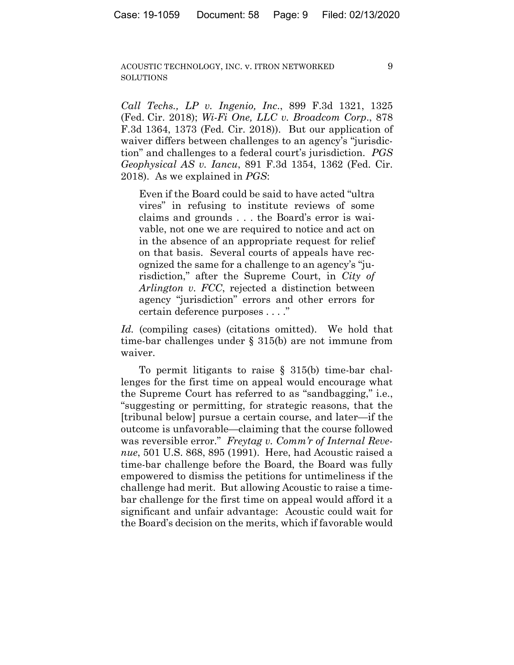9

*Call Techs., LP v. Ingenio, Inc*., 899 F.3d 1321, 1325 (Fed. Cir. 2018); *Wi-Fi One, LLC v. Broadcom Corp*., 878 F.3d 1364, 1373 (Fed. Cir. 2018)). But our application of waiver differs between challenges to an agency's "jurisdiction" and challenges to a federal court's jurisdiction. *PGS Geophysical AS v. Iancu*, 891 F.3d 1354, 1362 (Fed. Cir. 2018). As we explained in *PGS*:

Even if the Board could be said to have acted "ultra vires" in refusing to institute reviews of some claims and grounds . . . the Board's error is waivable, not one we are required to notice and act on in the absence of an appropriate request for relief on that basis. Several courts of appeals have recognized the same for a challenge to an agency's "jurisdiction," after the Supreme Court, in *City of Arlington v. FCC*, rejected a distinction between agency "jurisdiction" errors and other errors for certain deference purposes . . . ."

*Id.* (compiling cases) (citations omitted). We hold that time-bar challenges under § 315(b) are not immune from waiver.

To permit litigants to raise § 315(b) time-bar challenges for the first time on appeal would encourage what the Supreme Court has referred to as "sandbagging," i.e., "suggesting or permitting, for strategic reasons, that the [tribunal below] pursue a certain course, and later—if the outcome is unfavorable—claiming that the course followed was reversible error." *Freytag v. Comm'r of Internal Revenue*, 501 U.S. 868, 895 (1991). Here, had Acoustic raised a time-bar challenge before the Board, the Board was fully empowered to dismiss the petitions for untimeliness if the challenge had merit. But allowing Acoustic to raise a timebar challenge for the first time on appeal would afford it a significant and unfair advantage: Acoustic could wait for the Board's decision on the merits, which if favorable would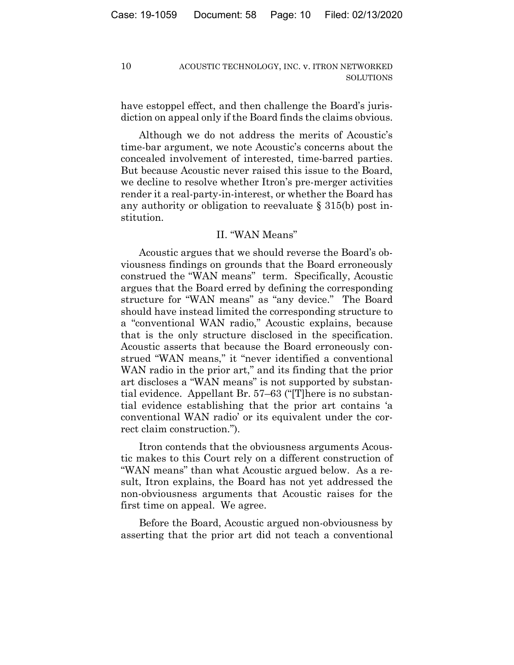have estoppel effect, and then challenge the Board's jurisdiction on appeal only if the Board finds the claims obvious.

Although we do not address the merits of Acoustic's time-bar argument, we note Acoustic's concerns about the concealed involvement of interested, time-barred parties. But because Acoustic never raised this issue to the Board, we decline to resolve whether Itron's pre-merger activities render it a real-party-in-interest, or whether the Board has any authority or obligation to reevaluate  $\S 315(b)$  post institution.

# II. "WAN Means"

Acoustic argues that we should reverse the Board's obviousness findings on grounds that the Board erroneously construed the "WAN means" term. Specifically, Acoustic argues that the Board erred by defining the corresponding structure for "WAN means" as "any device." The Board should have instead limited the corresponding structure to a "conventional WAN radio," Acoustic explains, because that is the only structure disclosed in the specification. Acoustic asserts that because the Board erroneously construed "WAN means," it "never identified a conventional WAN radio in the prior art," and its finding that the prior art discloses a "WAN means" is not supported by substantial evidence. Appellant Br. 57–63 ("There is no substantial evidence establishing that the prior art contains 'a conventional WAN radio' or its equivalent under the correct claim construction.").

It ron contends that the obviousness arguments Acoustic makes to this Court rely on a different construction of "WAN means" than what Acoustic argued below. As a result, Itron explains, the Board has not yet addressed the non-obviousness arguments that Acoustic raises for the first time on appeal. We agree.

Before the Board, Acoustic argued non-obviousness by asserting that the prior art did not teach a conventional

 $10$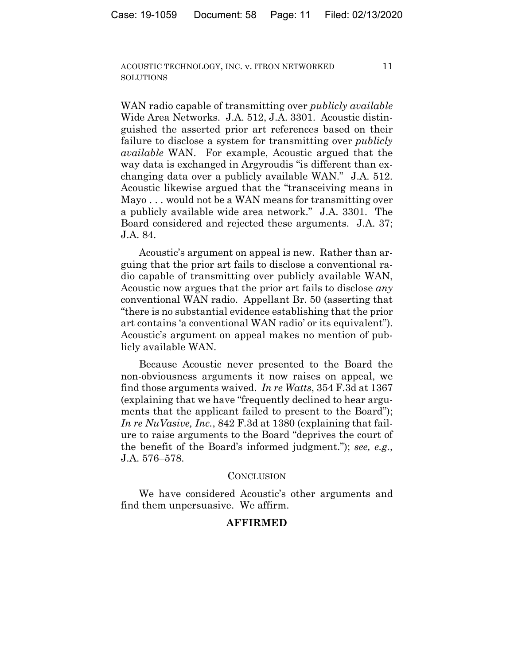$11$ 

WAN radio capable of transmitting over *publicly available* Wide Area Networks. J.A. 512, J.A. 3301. Acoustic distinguished the asserted prior art references based on their failure to disclose a system for transmitting over *publicly available* WAN. For example, Acoustic argued that the way data is exchanged in Argyroudis "is different than exchanging data over a publicly available WAN." J.A. 512. Acoustic likewise argued that the "transceiving means in Mayo... would not be a WAN means for transmitting over a publicly available wide area network." J.A. 3301. The Board considered and rejected these arguments. J.A. 37; J.A. 84.

Acoustic's argument on appeal is new. Rather than arguing that the prior art fails to disclose a conventional radio capable of transmitting over publicly available WAN, Acoustic now argues that the prior art fails to disclose any conventional WAN radio. Appellant Br. 50 (asserting that "there is no substantial evidence establishing that the prior art contains 'a conventional WAN radio' or its equivalent"). Acoustic's argument on appeal makes no mention of publicly available WAN.

Because Acoustic never presented to the Board the non-obviousness arguments it now raises on appeal, we find those arguments waived. In re Watts, 354 F.3d at 1367 (explaining that we have "frequently declined to hear arguments that the applicant failed to present to the Board"); *In re NuVasive, Inc., 842 F.3d at 1380 (explaining that fail*ure to raise arguments to the Board "deprives the court of the benefit of the Board's informed judgment."); see, e.g., J.A. 576-578.

# **CONCLUSION**

We have considered Acoustic's other arguments and find them unpersuasive. We affirm.

# **AFFIRMED**